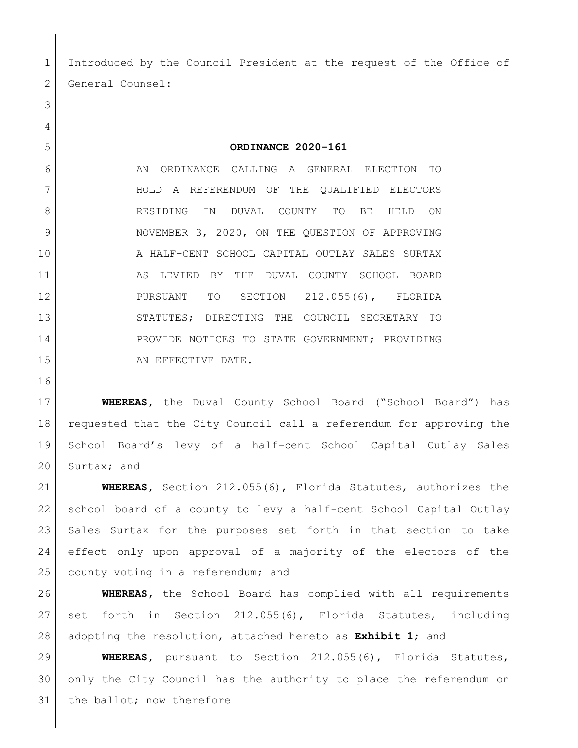Introduced by the Council President at the request of the Office of 2 General Counsel:

**ORDINANCE 2020-161**

6 AN ORDINANCE CALLING A GENERAL ELECTION TO HOLD A REFERENDUM OF THE QUALIFIED ELECTORS 8 RESIDING IN DUVAL COUNTY TO BE HELD ON NOVEMBER 3, 2020, ON THE QUESTION OF APPROVING A HALF-CENT SCHOOL CAPITAL OUTLAY SALES SURTAX 11 AS LEVIED BY THE DUVAL COUNTY SCHOOL BOARD PURSUANT TO SECTION 212.055(6), FLORIDA STATUTES; DIRECTING THE COUNCIL SECRETARY TO 14 PROVIDE NOTICES TO STATE GOVERNMENT; PROVIDING 15 AN EFFECTIVE DATE.

 **WHEREAS,** the Duval County School Board ("School Board") has requested that the City Council call a referendum for approving the School Board's levy of a half-cent School Capital Outlay Sales 20 Surtax; and

 **WHEREAS,** Section 212.055(6), Florida Statutes, authorizes the school board of a county to levy a half-cent School Capital Outlay Sales Surtax for the purposes set forth in that section to take effect only upon approval of a majority of the electors of the 25 county voting in a referendum; and

 **WHEREAS,** the School Board has complied with all requirements 27 set forth in Section 212.055(6), Florida Statutes, including adopting the resolution, attached hereto as **Exhibit 1**; and

 **WHEREAS,** pursuant to Section 212.055(6), Florida Statutes, only the City Council has the authority to place the referendum on 31 the ballot; now therefore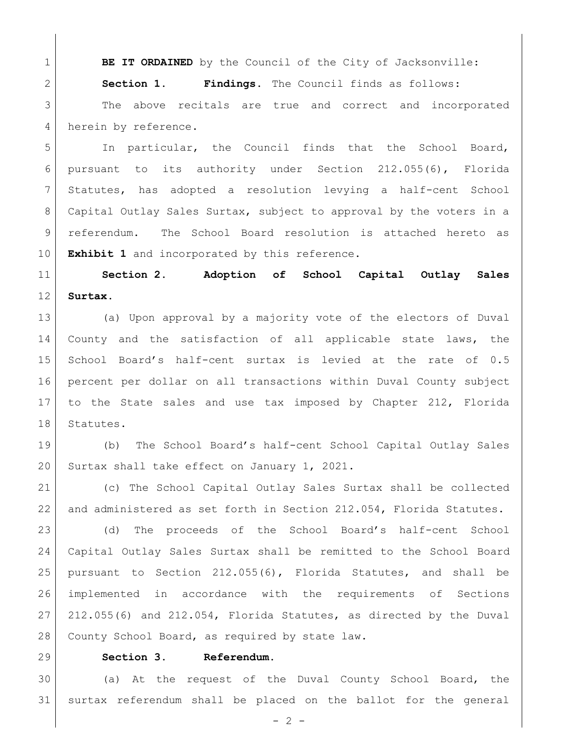**BE IT ORDAINED** by the Council of the City of Jacksonville:

**Section 1. Findings.** The Council finds as follows:

3 | The above recitals are true and correct and incorporated 4 herein by reference.

 In particular, the Council finds that the School Board, pursuant to its authority under Section 212.055(6), Florida Statutes, has adopted a resolution levying a half-cent School Capital Outlay Sales Surtax, subject to approval by the voters in a referendum. The School Board resolution is attached hereto as **Exhibit 1** and incorporated by this reference.

 **Section 2. Adoption of School Capital Outlay Sales Surtax.**

 (a) Upon approval by a majority vote of the electors of Duval County and the satisfaction of all applicable state laws, the School Board's half-cent surtax is levied at the rate of 0.5 percent per dollar on all transactions within Duval County subject to the State sales and use tax imposed by Chapter 212, Florida 18 Statutes.

 (b) The School Board's half-cent School Capital Outlay Sales 20 Surtax shall take effect on January 1, 2021.

 (c) The School Capital Outlay Sales Surtax shall be collected 22 and administered as set forth in Section 212.054, Florida Statutes.

 (d) The proceeds of the School Board's half-cent School Capital Outlay Sales Surtax shall be remitted to the School Board pursuant to Section 212.055(6), Florida Statutes, and shall be implemented in accordance with the requirements of Sections 212.055(6) and 212.054, Florida Statutes, as directed by the Duval 28 | County School Board, as required by state law.

## **Section 3. Referendum.**

 (a) At the request of the Duval County School Board, the surtax referendum shall be placed on the ballot for the general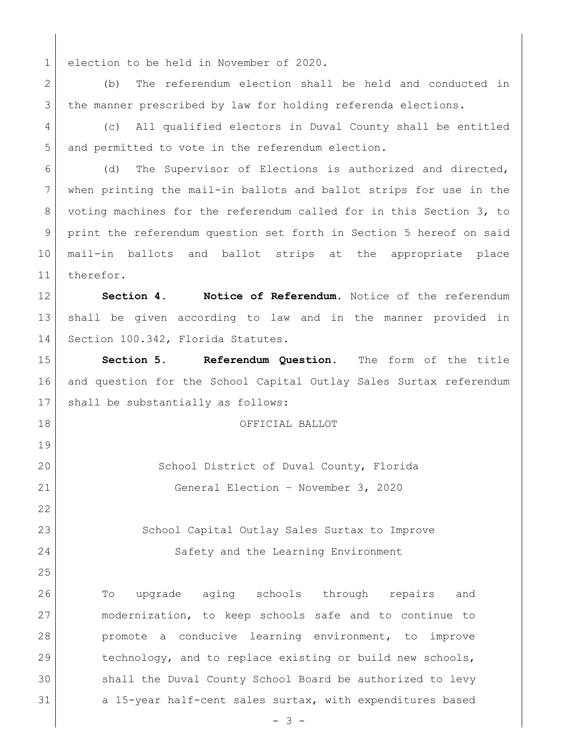election to be held in November of 2020.

 (b) The referendum election shall be held and conducted in 3 | the manner prescribed by law for holding referenda elections.

 (c) All qualified electors in Duval County shall be entitled and permitted to vote in the referendum election.

6 (d) The Supervisor of Elections is authorized and directed, when printing the mail-in ballots and ballot strips for use in the voting machines for the referendum called for in this Section 3, to print the referendum question set forth in Section 5 hereof on said mail-in ballots and ballot strips at the appropriate place therefor.

 **Section 4. Notice of Referendum.** Notice of the referendum shall be given according to law and in the manner provided in 14 Section 100.342, Florida Statutes.

 **Section 5. Referendum Question.** The form of the title and question for the School Capital Outlay Sales Surtax referendum 17 | shall be substantially as follows:

OFFICIAL BALLOT

 School District of Duval County, Florida General Election – November 3, 2020

23 School Capital Outlay Sales Surtax to Improve Safety and the Learning Environment

 To upgrade aging schools through repairs and modernization, to keep schools safe and to continue to promote a conducive learning environment, to improve technology, and to replace existing or build new schools, shall the Duval County School Board be authorized to levy 31 a 15-year half-cent sales surtax, with expenditures based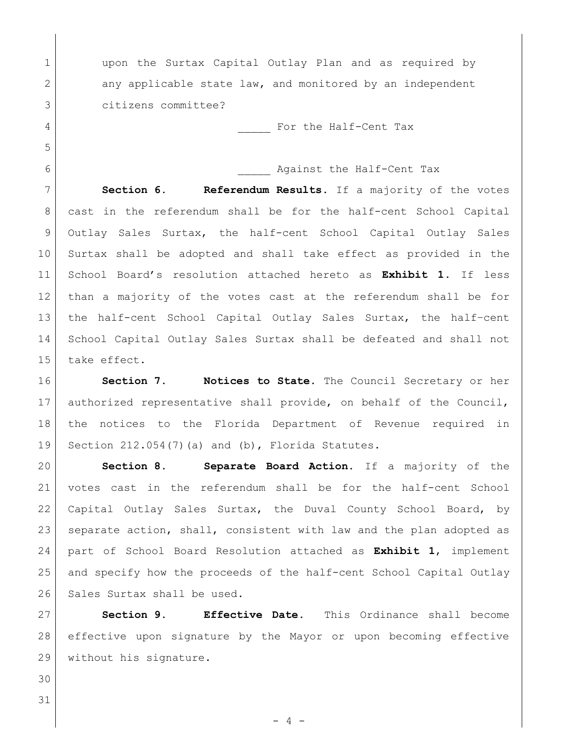1 | upon the Surtax Capital Outlay Plan and as required by 2 any applicable state law, and monitored by an independent citizens committee?

4 Geometric Section of the Half-Cent Tax

6 against the Half-Cent Tax

 **Section 6. Referendum Results.** If a majority of the votes cast in the referendum shall be for the half-cent School Capital Outlay Sales Surtax, the half-cent School Capital Outlay Sales Surtax shall be adopted and shall take effect as provided in the School Board's resolution attached hereto as **Exhibit 1**. If less than a majority of the votes cast at the referendum shall be for the half-cent School Capital Outlay Sales Surtax, the half–cent School Capital Outlay Sales Surtax shall be defeated and shall not take effect.

 **Section 7. Notices to State.** The Council Secretary or her authorized representative shall provide, on behalf of the Council, the notices to the Florida Department of Revenue required in Section 212.054(7)(a) and (b), Florida Statutes.

 **Section 8. Separate Board Action.** If a majority of the votes cast in the referendum shall be for the half-cent School Capital Outlay Sales Surtax, the Duval County School Board, by 23 | separate action, shall, consistent with law and the plan adopted as part of School Board Resolution attached as **Exhibit 1**, implement 25 and specify how the proceeds of the half-cent School Capital Outlay 26 Sales Surtax shall be used.

 **Section 9. Effective Date.** This Ordinance shall become effective upon signature by the Mayor or upon becoming effective 29 | without his signature.